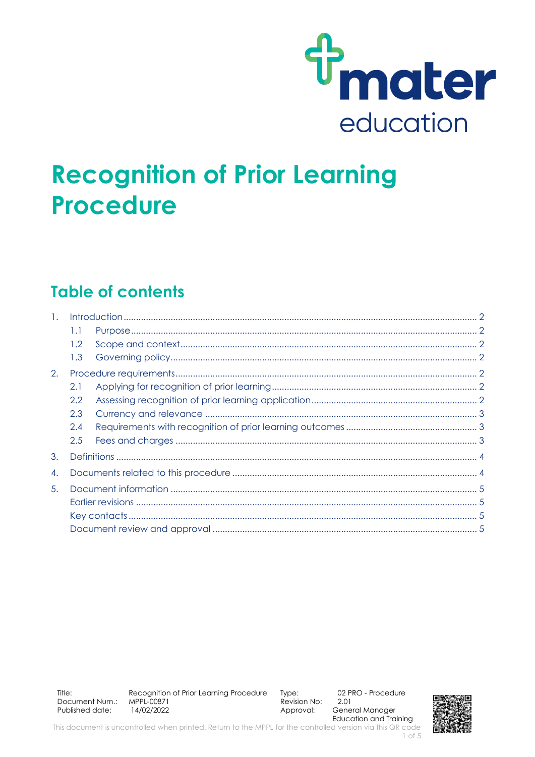

# **Recognition of Prior Learning Procedure**

### **Table of contents**

| $\mathbf{1}$ . |  |  |
|----------------|--|--|
| 1.1            |  |  |
| $1.2^{\circ}$  |  |  |
| 1.3            |  |  |
|                |  |  |
| 2.1            |  |  |
| 2.2            |  |  |
| 2.3            |  |  |
| 2.4            |  |  |
| 2.5            |  |  |
|                |  |  |
|                |  |  |
| 5.             |  |  |
|                |  |  |
|                |  |  |
|                |  |  |
|                |  |  |

Title: Recognition of Prior Learning Procedure Type: Document Num.: MPPL-00871 Revision No: Published date: 14/02/2022 Approval:

02 PRO - Procedure 2.01 General Manager **Education and Training** 



This document is uncontrolled when printed. Return to the MPPL for the controlled version via this QR code  $1$  of  $5$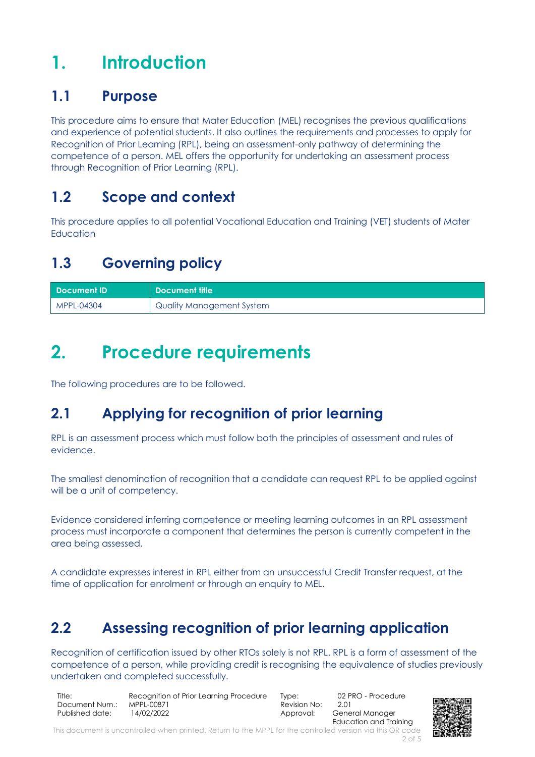## <span id="page-1-0"></span>**1. Introduction**

#### <span id="page-1-1"></span>**1.1 Purpose**

This procedure aims to ensure that Mater Education (MEL) recognises the previous qualifications and experience of potential students. It also outlines the requirements and processes to apply for Recognition of Prior Learning (RPL), being an assessment-only pathway of determining the competence of a person. MEL offers the opportunity for undertaking an assessment process through Recognition of Prior Learning (RPL).

#### <span id="page-1-2"></span>**1.2 Scope and context**

This procedure applies to all potential Vocational Education and Training (VET) students of Mater Education

### <span id="page-1-3"></span>**1.3 Governing policy**

| Document ID | <b>N</b> Document title   |
|-------------|---------------------------|
| MPPL-04304  | Quality Management System |

## <span id="page-1-4"></span>**2. Procedure requirements**

The following procedures are to be followed.

### <span id="page-1-5"></span>**2.1 Applying for recognition of prior learning**

RPL is an assessment process which must follow both the principles of assessment and rules of evidence.

The smallest denomination of recognition that a candidate can request RPL to be applied against will be a unit of competency.

Evidence considered inferring competence or meeting learning outcomes in an RPL assessment process must incorporate a component that determines the person is currently competent in the area being assessed.

A candidate expresses interest in RPL either from an unsuccessful Credit Transfer request, at the time of application for enrolment or through an enquiry to MEL.

### <span id="page-1-6"></span>**2.2 Assessing recognition of prior learning application**

Recognition of certification issued by other RTOs solely is not RPL. RPL is a form of assessment of the competence of a person, while providing credit is recognising the equivalence of studies previously undertaken and completed successfully.

Title: Recognition of Prior Learning Procedure Type: 02 PRO - Procedure<br>Document Num.: MPPL-00871 Revision No: 2.01 Document Num.: Published date:  $14/02/2022$  Approval: General Manager

Education and Training



This document is uncontrolled when printed. Return to the MPPL for the controlled version via this QR code 2 of 5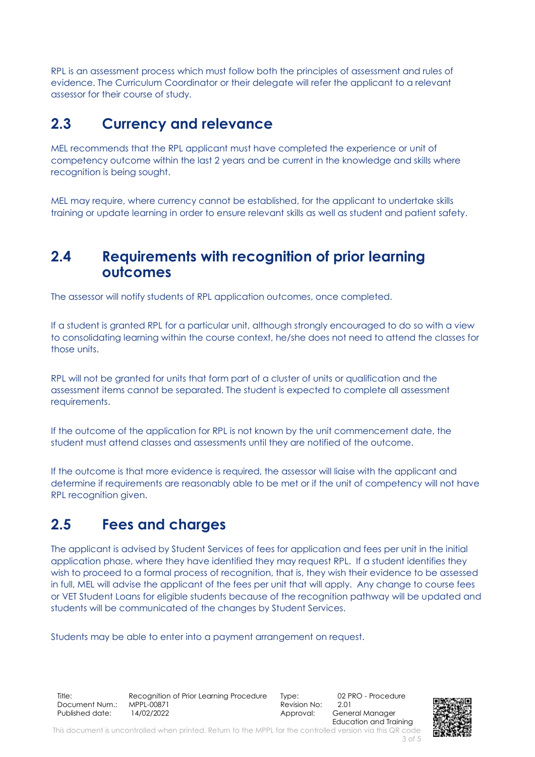RPL is an assessment process which must follow both the principles of assessment and rules of evidence. The Curriculum Coordinator or their delegate will refer the applicant to a relevant assessor for their course of study.

#### <span id="page-2-0"></span>**2.3 Currency and relevance**

MEL recommends that the RPL applicant must have completed the experience or unit of competency outcome within the last 2 years and be current in the knowledge and skills where recognition is being sought.

MEL may require, where currency cannot be established, for the applicant to undertake skills training or update learning in order to ensure relevant skills as well as student and patient safety.

#### <span id="page-2-1"></span>**2.4 Requirements with recognition of prior learning outcomes**

The assessor will notify students of RPL application outcomes, once completed.

If a student is granted RPL for a particular unit, although strongly encouraged to do so with a view to consolidating learning within the course context, he/she does not need to attend the classes for those units.

RPL will not be granted for units that form part of a cluster of units or qualification and the assessment items cannot be separated. The student is expected to complete all assessment requirements.

If the outcome of the application for RPL is not known by the unit commencement date, the student must attend classes and assessments until they are notified of the outcome.

If the outcome is that more evidence is required, the assessor will liaise with the applicant and determine if requirements are reasonably able to be met or if the unit of competency will not have RPL recognition given.

#### <span id="page-2-2"></span>**2.5 Fees and charges**

The applicant is advised by Student Services of fees for application and fees per unit in the initial application phase, where they have identified they may request RPL. If a student identifies they wish to proceed to a formal process of recognition, that is, they wish their evidence to be assessed in full, MEL will advise the applicant of the fees per unit that will apply. Any change to course fees or VET Student Loans for eligible students because of the recognition pathway will be updated and students will be communicated of the changes by Student Services.

Students may be able to enter into a payment arrangement on request.

Title: Recognition of Prior Learning Procedure Type: 02 PRO - Procedure<br>Document Num.: MPPL-00871 Revision No: 2.01 Document Num.: Published date:  $14/02/2022$  Approval: General Manager

Education and Training

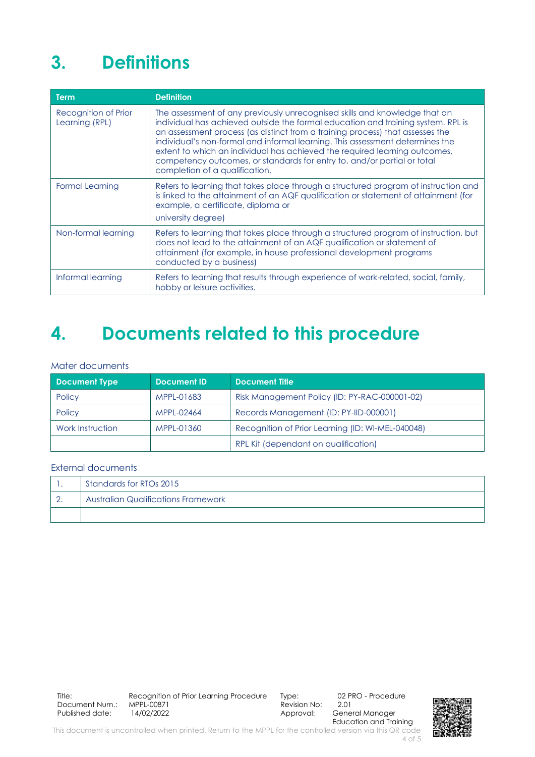## <span id="page-3-0"></span>**3. Definitions**

| Term                                   | <b>Definition</b>                                                                                                                                                                                                                                                                                                                                                                                                                                                                                                           |
|----------------------------------------|-----------------------------------------------------------------------------------------------------------------------------------------------------------------------------------------------------------------------------------------------------------------------------------------------------------------------------------------------------------------------------------------------------------------------------------------------------------------------------------------------------------------------------|
| Recognition of Prior<br>Learning (RPL) | The assessment of any previously unrecognised skills and knowledge that an<br>individual has achieved outside the formal education and training system. RPL is<br>an assessment process (as distinct from a training process) that assesses the<br>individual's non-formal and informal learning. This assessment determines the<br>extent to which an individual has achieved the required learning outcomes,<br>competency outcomes, or standards for entry to, and/or partial or total<br>completion of a qualification. |
| <b>Formal Learning</b>                 | Refers to learning that takes place through a structured program of instruction and<br>is linked to the attainment of an AQF qualification or statement of attainment (for<br>example, a certificate, diploma or<br>university degree)                                                                                                                                                                                                                                                                                      |
| Non-formal learning                    | Refers to learning that takes place through a structured program of instruction, but<br>does not lead to the attainment of an AQF qualification or statement of<br>attainment (for example, in house professional development programs<br>conducted by a business)                                                                                                                                                                                                                                                          |
| Informal learning                      | Refers to learning that results through experience of work-related, social, family,<br>hobby or leisure activities.                                                                                                                                                                                                                                                                                                                                                                                                         |

### <span id="page-3-1"></span>**4. Documents related to this procedure**

#### Mater documents

| <b>Document Type</b> | Document ID | <b>Document Title</b>                             |
|----------------------|-------------|---------------------------------------------------|
| Policy               | MPPL-01683  | Risk Management Policy (ID: PY-RAC-000001-02)     |
| Policy               | MPPL-02464  | Records Management (ID: PY-IID-000001)            |
| Work Instruction     | MPPL-01360  | Recognition of Prior Learning (ID: WI-MEL-040048) |
|                      |             | RPL Kit (dependant on qualification)              |

#### External documents

| Standards for RTOs 2015                    |  |  |
|--------------------------------------------|--|--|
| <b>Australian Qualifications Framework</b> |  |  |
|                                            |  |  |

General Manager Education and Training